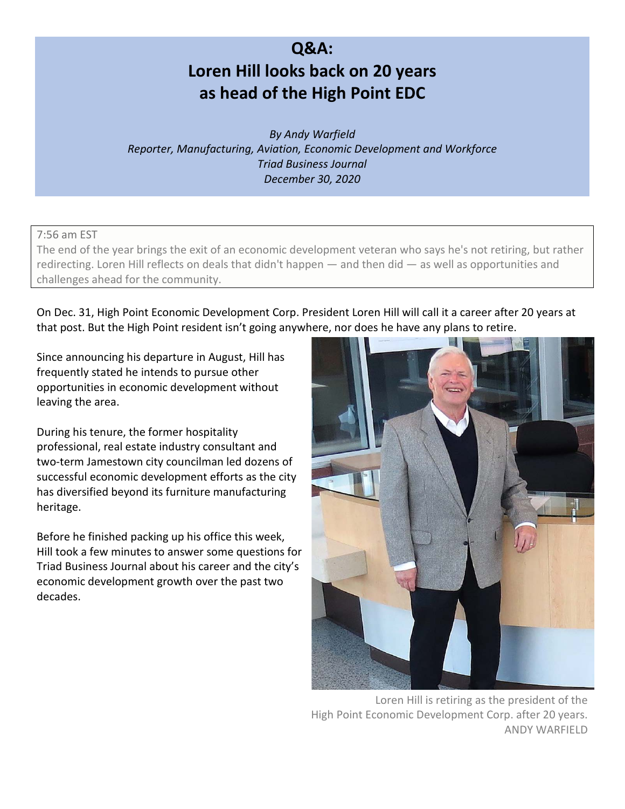# **Q&A: Loren Hill looks back on 20 years as head of the High Point EDC**

*By Andy Warfield Reporter, Manufacturing, Aviation, Economic Development and Workforce Triad Business Journal December 30, 2020*

7:56 am EST

The end of the year brings the exit of an economic development veteran who says he's not retiring, but rather redirecting. Loren Hill reflects on deals that didn't happen — and then did — as well as opportunities and challenges ahead for the community.

On Dec. 31, High Point Economic Development Corp. President Loren Hill will call it a career after 20 years at that post. But the High Point resident isn't going anywhere, nor does he have any plans to retire.

Since announcing his departure in August, Hill has frequently stated he intends to pursue other opportunities in economic development without leaving the area.

During his tenure, the former hospitality professional, real estate industry consultant and two-term Jamestown city councilman led dozens of successful economic development efforts as the city has diversified beyond its furniture manufacturing heritage.

Before he finished packing up his office this week, Hill took a few minutes to answer some questions for Triad Business Journal about his career and the city's economic development growth over the past two decades.



Loren Hill is retiring as the president of the High Point Economic Development Corp. after 20 years. ANDY WARFIELD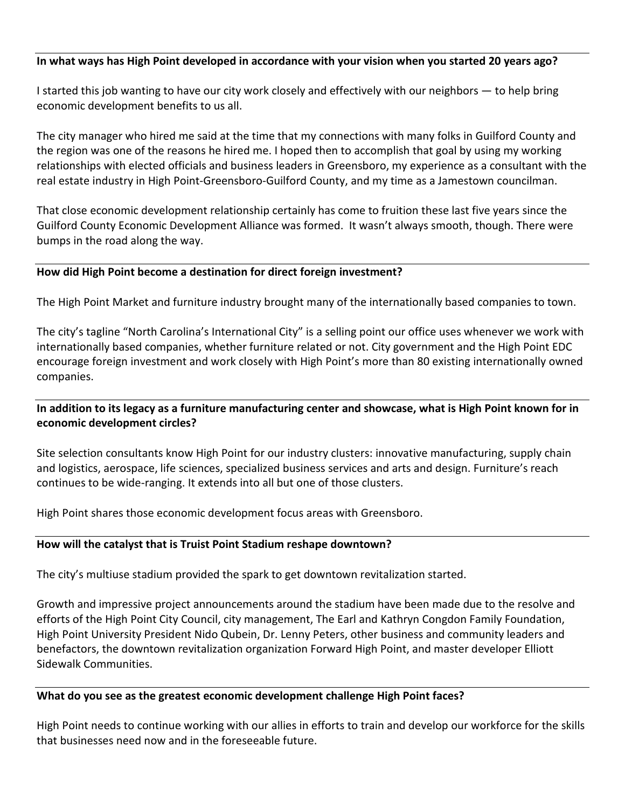## **In what ways has High Point developed in accordance with your vision when you started 20 years ago?**

I started this job wanting to have our city work closely and effectively with our neighbors — to help bring economic development benefits to us all.

The city manager who hired me said at the time that my connections with many folks in Guilford County and the region was one of the reasons he hired me. I hoped then to accomplish that goal by using my working relationships with elected officials and business leaders in Greensboro, my experience as a consultant with the real estate industry in High Point-Greensboro-Guilford County, and my time as a Jamestown councilman.

That close economic development relationship certainly has come to fruition these last five years since the Guilford County Economic Development Alliance was formed. It wasn't always smooth, though. There were bumps in the road along the way.

## **How did High Point become a destination for direct foreign investment?**

The High Point Market and furniture industry brought many of the internationally based companies to town.

The city's tagline "North Carolina's International City" is a selling point our office uses whenever we work with internationally based companies, whether furniture related or not. City government and the High Point EDC encourage foreign investment and work closely with High Point's more than 80 existing internationally owned companies.

# **In addition to its legacy as a furniture manufacturing center and showcase, what is High Point known for in economic development circles?**

Site selection consultants know High Point for our industry clusters: innovative manufacturing, supply chain and logistics, aerospace, life sciences, specialized business services and arts and design. Furniture's reach continues to be wide-ranging. It extends into all but one of those clusters.

High Point shares those economic development focus areas with Greensboro.

#### **How will the catalyst that is Truist Point Stadium reshape downtown?**

The city's multiuse stadium provided the spark to get downtown revitalization started.

Growth and impressive project announcements around the stadium have been made due to the resolve and efforts of the High Point City Council, city management, The Earl and Kathryn Congdon Family Foundation, High Point University President Nido Qubein, Dr. Lenny Peters, other business and community leaders and benefactors, the downtown revitalization organization Forward High Point, and master developer Elliott Sidewalk Communities.

## **What do you see as the greatest economic development challenge High Point faces?**

High Point needs to continue working with our allies in efforts to train and develop our workforce for the skills that businesses need now and in the foreseeable future.